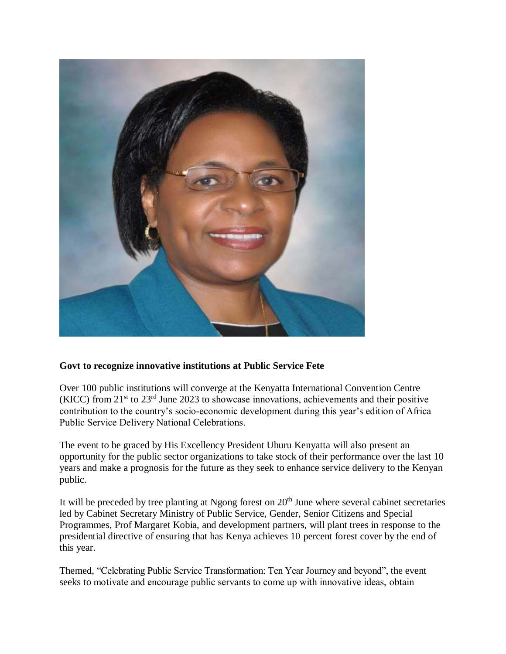

## **Govt to recognize innovative institutions at Public Service Fete**

Over 100 public institutions will converge at the Kenyatta International Convention Centre (KICC) from  $21<sup>st</sup>$  to  $23<sup>rd</sup>$  June 2023 to showcase innovations, achievements and their positive contribution to the country's socio-economic development during this year's edition of Africa Public Service Delivery National Celebrations.

The event to be graced by His Excellency President Uhuru Kenyatta will also present an opportunity for the public sector organizations to take stock of their performance over the last 10 years and make a prognosis for the future as they seek to enhance service delivery to the Kenyan public.

It will be preceded by tree planting at Ngong forest on  $20<sup>th</sup>$  June where several cabinet secretaries led by Cabinet Secretary Ministry of Public Service, Gender, Senior Citizens and Special Programmes, Prof Margaret Kobia, and development partners, will plant trees in response to the presidential directive of ensuring that has Kenya achieves 10 percent forest cover by the end of this year.

Themed, "Celebrating Public Service Transformation: Ten Year Journey and beyond", the event seeks to motivate and encourage public servants to come up with innovative ideas, obtain